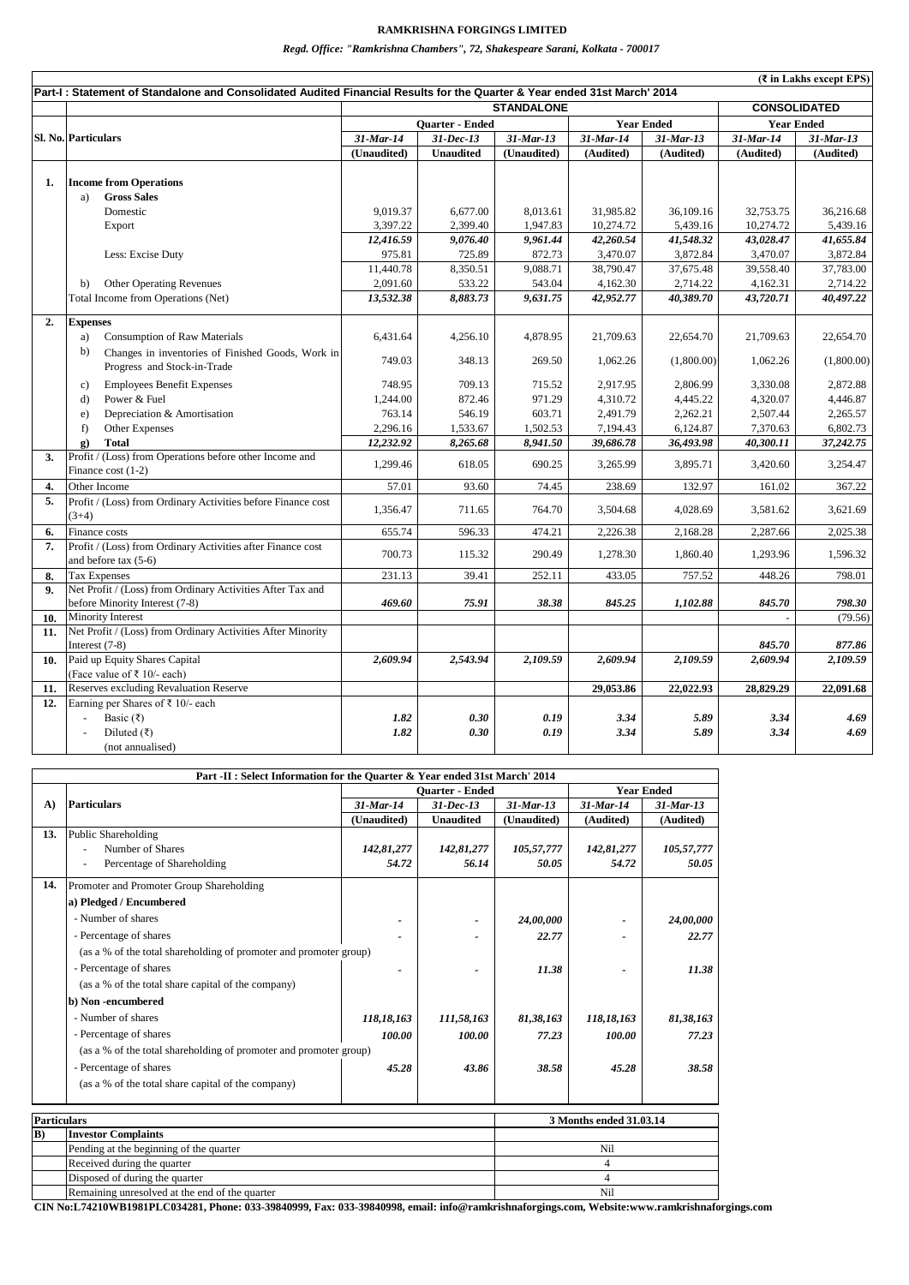|     | (₹ in Lakhs except EPS)                                                                                                                       |                 |                  |                     |           |                   |                   |              |  |
|-----|-----------------------------------------------------------------------------------------------------------------------------------------------|-----------------|------------------|---------------------|-----------|-------------------|-------------------|--------------|--|
|     | Part-I: Statement of Standalone and Consolidated Audited Financial Results for the Quarter & Year ended 31st March' 2014<br><b>STANDALONE</b> |                 |                  |                     |           |                   |                   |              |  |
|     |                                                                                                                                               |                 |                  | <b>CONSOLIDATED</b> |           |                   |                   |              |  |
|     |                                                                                                                                               | Quarter - Ended |                  |                     |           | <b>Year Ended</b> | <b>Year Ended</b> |              |  |
|     | Sl. No. Particulars                                                                                                                           | $31$ -Mar-14    | $31-Dec-13$      | $31$ -Mar-13        | 31-Mar-14 | $31$ -Mar-13      | 31-Mar-14         | $31$ -Mar-13 |  |
|     |                                                                                                                                               | (Unaudited)     | <b>Unaudited</b> | (Unaudited)         | (Audited) | (Audited)         | (Audited)         | (Audited)    |  |
|     |                                                                                                                                               |                 |                  |                     |           |                   |                   |              |  |
| 1.  | <b>Income from Operations</b><br><b>Gross Sales</b><br>a)                                                                                     |                 |                  |                     |           |                   |                   |              |  |
|     | Domestic                                                                                                                                      | 9,019.37        | 6,677.00         | 8,013.61            | 31,985.82 | 36,109.16         | 32,753.75         | 36,216.68    |  |
|     | Export                                                                                                                                        | 3,397.22        | 2,399.40         | 1,947.83            | 10,274.72 | 5,439.16          | 10,274.72         | 5,439.16     |  |
|     |                                                                                                                                               | 12,416.59       | 9,076.40         | 9,961.44            | 42,260.54 | 41,548.32         | 43,028.47         | 41,655.84    |  |
|     | Less: Excise Duty                                                                                                                             | 975.81          | 725.89           | 872.73              | 3,470.07  | 3,872.84          | 3,470.07          | 3,872.84     |  |
|     |                                                                                                                                               | 11,440.78       | 8,350.51         | 9,088.71            | 38,790.47 | 37,675.48         | 39,558.40         | 37,783.00    |  |
|     | <b>Other Operating Revenues</b><br>b)                                                                                                         | 2,091.60        | 533.22           | 543.04              | 4,162.30  | 2,714.22          | 4,162.31          | 2,714.22     |  |
|     | Total Income from Operations (Net)                                                                                                            | 13,532.38       | 8,883.73         | 9,631.75            | 42,952.77 | 40,389.70         | 43,720.71         | 40,497.22    |  |
|     |                                                                                                                                               |                 |                  |                     |           |                   |                   |              |  |
| 2.  | <b>Expenses</b>                                                                                                                               |                 |                  |                     |           |                   |                   |              |  |
|     | <b>Consumption of Raw Materials</b><br>a)                                                                                                     | 6,431.64        | 4,256.10         | 4,878.95            | 21,709.63 | 22,654.70         | 21,709.63         | 22,654.70    |  |
|     | b)<br>Changes in inventories of Finished Goods, Work in                                                                                       |                 |                  |                     |           |                   |                   |              |  |
|     | Progress and Stock-in-Trade                                                                                                                   | 749.03          | 348.13           | 269.50              | 1,062.26  | (1,800.00)        | 1,062.26          | (1,800.00)   |  |
|     | <b>Employees Benefit Expenses</b><br>$\mathbf{c}$                                                                                             | 748.95          | 709.13           | 715.52              | 2,917.95  | 2,806.99          | 3,330.08          | 2,872.88     |  |
|     | Power & Fuel<br>d)                                                                                                                            | 1,244.00        | 872.46           | 971.29              | 4,310.72  | 4,445.22          | 4,320.07          | 4,446.87     |  |
|     | Depreciation & Amortisation<br>e)                                                                                                             | 763.14          | 546.19           | 603.71              | 2,491.79  | 2,262.21          | 2,507.44          | 2,265.57     |  |
|     | Other Expenses<br>f)                                                                                                                          | 2,296.16        | 1,533.67         | 1,502.53            | 7,194.43  | 6,124.87          | 7,370.63          | 6,802.73     |  |
|     | <b>Total</b><br>$\mathbf{g}$ )                                                                                                                | 12,232.92       | 8,265.68         | 8,941.50            | 39,686.78 | 36,493.98         | 40,300.11         | 37,242.75    |  |
| 3.  | Profit / (Loss) from Operations before other Income and                                                                                       |                 |                  |                     |           |                   |                   |              |  |
|     | Finance cost $(1-2)$                                                                                                                          | 1,299.46        | 618.05           | 690.25              | 3,265.99  | 3,895.71          | 3,420.60          | 3,254.47     |  |
| 4.  | Other Income                                                                                                                                  | 57.01           | 93.60            | 74.45               | 238.69    | 132.97            | 161.02            | 367.22       |  |
| 5.  | Profit / (Loss) from Ordinary Activities before Finance cost                                                                                  |                 |                  |                     |           |                   |                   |              |  |
|     | $(3+4)$                                                                                                                                       | 1,356.47        | 711.65           | 764.70              | 3,504.68  | 4,028.69          | 3,581.62          | 3,621.69     |  |
| 6.  | Finance costs                                                                                                                                 | 655.74          | 596.33           | 474.21              | 2,226.38  | 2,168.28          | 2,287.66          | 2,025.38     |  |
| 7.  | Profit / (Loss) from Ordinary Activities after Finance cost                                                                                   |                 |                  |                     |           |                   |                   |              |  |
|     | and before tax $(5-6)$                                                                                                                        | 700.73          | 115.32           | 290.49              | 1,278.30  | 1,860.40          | 1,293.96          | 1,596.32     |  |
| 8.  | <b>Tax Expenses</b>                                                                                                                           | 231.13          | 39.41            | 252.11              | 433.05    | 757.52            | 448.26            | 798.01       |  |
| 9.  | Net Profit / (Loss) from Ordinary Activities After Tax and                                                                                    |                 |                  |                     |           |                   |                   |              |  |
|     | before Minority Interest (7-8)                                                                                                                | 469.60          | 75.91            | 38.38               | 845.25    | 1,102.88          | 845.70            | 798.30       |  |
| 10. | Minority Interest                                                                                                                             |                 |                  |                     |           |                   |                   | (79.56)      |  |
| 11. | Net Profit / (Loss) from Ordinary Activities After Minority                                                                                   |                 |                  |                     |           |                   |                   |              |  |
|     | Interest (7-8)                                                                                                                                |                 |                  |                     |           |                   | 845.70            | 877.86       |  |
| 10. | Paid up Equity Shares Capital                                                                                                                 | 2,609.94        | 2,543.94         | 2,109.59            | 2,609.94  | 2,109.59          | 2,609.94          | 2,109.59     |  |
|     | (Face value of ₹ 10/- each)                                                                                                                   |                 |                  |                     |           |                   |                   |              |  |
| 11. | Reserves excluding Revaluation Reserve                                                                                                        |                 |                  |                     | 29,053.86 | 22,022.93         | 28,829.29         | 22,091.68    |  |
| 12. | Earning per Shares of ₹ 10/- each                                                                                                             |                 |                  |                     |           |                   |                   |              |  |
|     | Basic (₹)                                                                                                                                     | 1.82            | 0.30             | 0.19                | 3.34      | 5.89              | 3.34              | 4.69         |  |
|     | Diluted $(\overline{\xi})$                                                                                                                    | 1.82            | 0.30             | 0.19                | 3.34      | 5.89              | 3.34              | 4.69         |  |
|     | (not annualised)                                                                                                                              |                 |                  |                     |           |                   |                   |              |  |

## **RAMKRISHNA FORGINGS LIMITED**

*Regd. Office: "Ramkrishna Chambers", 72, Shakespeare Sarani, Kolkata - 700017*

| Part -II : Select Information for the Quarter & Year ended 31st March' 2014 |                                                                   |                |                        |                         |                |              |  |  |
|-----------------------------------------------------------------------------|-------------------------------------------------------------------|----------------|------------------------|-------------------------|----------------|--------------|--|--|
|                                                                             |                                                                   |                | <b>Ouarter - Ended</b> | <b>Year Ended</b>       |                |              |  |  |
| $\mathbf{A}$                                                                | <b>Particulars</b>                                                | $31$ -Mar-14   | $31 - Dec - 13$        | $31$ -Mar-13            | $31$ -Mar-14   | $31$ -Mar-13 |  |  |
|                                                                             |                                                                   | (Unaudited)    | <b>Unaudited</b>       | (Unaudited)             | (Audited)      | (Audited)    |  |  |
| 13.                                                                         | Public Shareholding                                               |                |                        |                         |                |              |  |  |
|                                                                             | Number of Shares                                                  | 142,81,277     | 142,81,277             | 105,57,777              | 142,81,277     | 105,57,777   |  |  |
|                                                                             | Percentage of Shareholding                                        | 54.72          | 56.14                  | 50.05                   | 54.72          | 50.05        |  |  |
| 14.                                                                         | Promoter and Promoter Group Shareholding                          |                |                        |                         |                |              |  |  |
|                                                                             | a) Pledged / Encumbered                                           |                |                        |                         |                |              |  |  |
|                                                                             | - Number of shares                                                |                |                        | 24,00,000               |                | 24,00,000    |  |  |
|                                                                             | - Percentage of shares                                            |                |                        | 22.77                   |                | 22.77        |  |  |
|                                                                             | (as a % of the total shareholding of promoter and promoter group) |                |                        |                         |                |              |  |  |
|                                                                             | - Percentage of shares                                            |                |                        | 11.38                   |                | 11.38        |  |  |
|                                                                             | (as a % of the total share capital of the company)                |                |                        |                         |                |              |  |  |
|                                                                             | b) Non-encumbered                                                 |                |                        |                         |                |              |  |  |
|                                                                             | - Number of shares                                                | 118,18,163     | 111,58,163             | 81,38,163               | 118,18,163     | 81,38,163    |  |  |
|                                                                             | - Percentage of shares                                            | 100.00         | 100.00                 | 77.23                   | 100.00         | 77.23        |  |  |
|                                                                             | (as a % of the total shareholding of promoter and promoter group) |                |                        |                         |                |              |  |  |
|                                                                             | - Percentage of shares                                            | 45.28          | 43.86                  | 38.58                   | 45.28          | 38.58        |  |  |
|                                                                             | (as a % of the total share capital of the company)                |                |                        |                         |                |              |  |  |
| <b>Particulars</b>                                                          |                                                                   |                |                        | 3 Months ended 31.03.14 |                |              |  |  |
| B)                                                                          | <b>Investor Complaints</b>                                        |                |                        |                         |                |              |  |  |
|                                                                             | Pending at the beginning of the quarter                           |                |                        |                         | Nil            |              |  |  |
|                                                                             | Received during the quarter                                       |                |                        |                         | $\overline{4}$ |              |  |  |
|                                                                             | Disposed of during the quarter                                    | $\overline{4}$ |                        |                         |                |              |  |  |
|                                                                             | Remaining unresolved at the end of the quarter                    | Nil            |                        |                         |                |              |  |  |

**CIN No:L74210WB1981PLC034281, Phone: 033-39840999, Fax: 033-39840998, email: info@ramkrishnaforgings.com, Website:www.ramkrishnaforgings.com**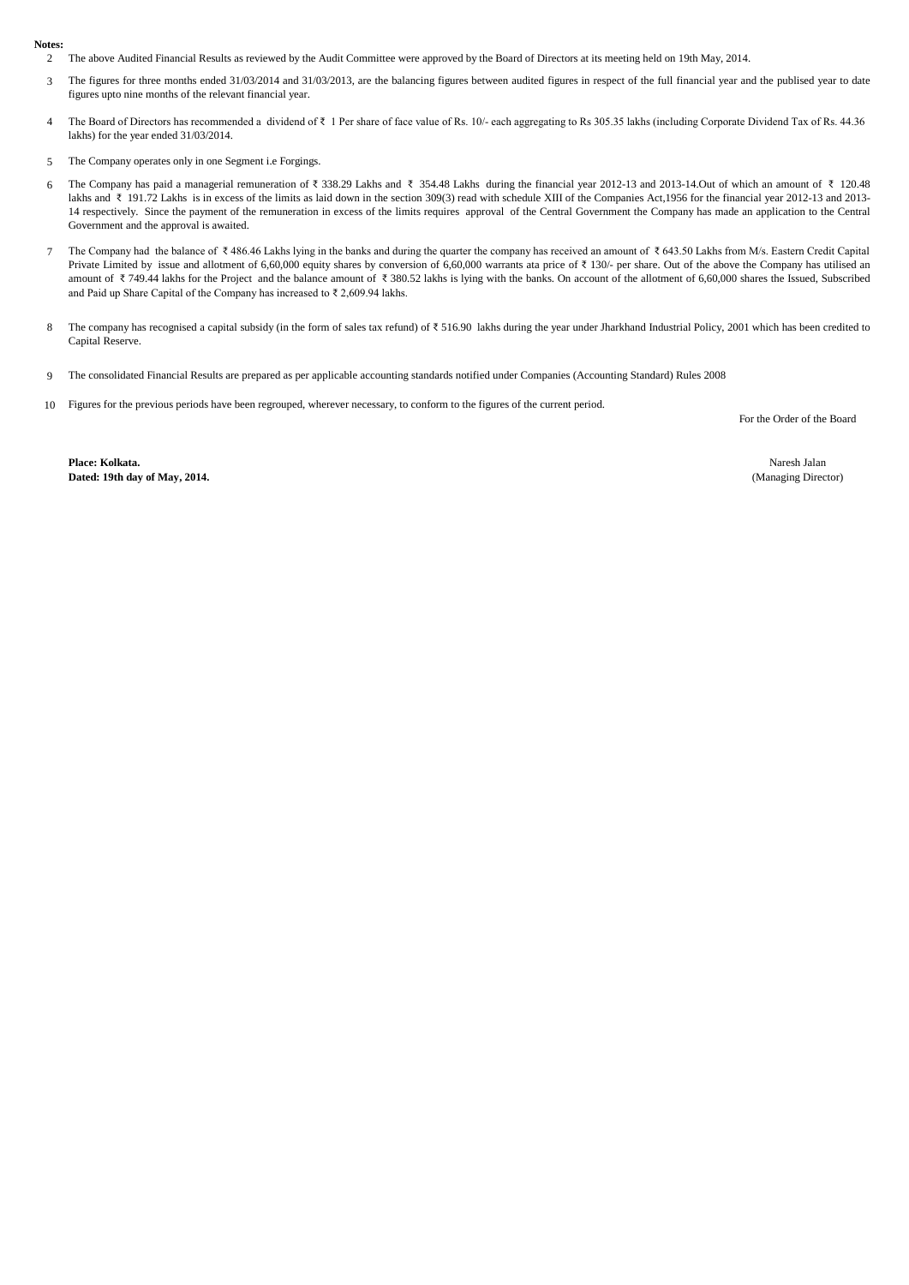## **Notes:**

- 2 The above Audited Financial Results as reviewed by the Audit Committee were approved by the Board of Directors at its meeting held on 19th May, 2014.
- 3 The figures for three months ended 31/03/2014 and 31/03/2013, are the balancing figures between audited figures in respect of the full financial year and the publised year to date figures upto nine months of the relevant financial year.
- 4 The Board of Directors has recommended a dividend of ₹ 1 Per share of face value of Rs. 10/- each aggregating to Rs 305.35 lakhs (including Corporate Dividend Tax of Rs. 44.36 lakhs) for the year ended 31/03/2014.
- 5 The Company operates only in one Segment i.e Forgings.
- 6 The Company has paid a managerial remuneration of ₹ 338.29 Lakhs and ₹ 354.48 Lakhs during the financial year 2012-13 and 2013-14.Out of which an amount of ₹ 120.48 lakhs and ₹ 191.72 Lakhs is in excess of the limits as laid down in the section 309(3) read with schedule XIII of the Companies Act,1956 for the financial year 2012-13 and 2013-14 respectively. Since the payment of the remuneration in excess of the limits requires approval of the Central Government the Company has made an application to the Central Government and the approval is awaited.
- 7 The Company had the balance of ₹ 486.46 Lakhs lying in the banks and during the quarter the company has received an amount of ₹ 643.50 Lakhs from M/s. Eastern Credit Capital Private Limited by issue and allotment of 6,60,000 equity shares by conversion of 6,60,000 warrants ata price of ₹ 130/- per share. Out of the above the Company has utilised an amount of ₹ 749.44 lakhs for the Project and the balance amount of ₹ 380.52 lakhs is lying with the banks. On account of the allotment of 6,60,000 shares the Issued, Subscribed and Paid up Share Capital of the Company has increased to ₹ 2,609.94 lakhs.
- 8 The company has recognised a capital subsidy (in the form of sales tax refund) of ₹ 516.90 lakhs during the year under Jharkhand Industrial Policy, 2001 which has been credited to Capital Reserve.
- 9 The consolidated Financial Results are prepared as per applicable accounting standards notified under Companies (Accounting Standard) Rules 2008
- 10 Figures for the previous periods have been regrouped, wherever necessary, to conform to the figures of the current period.

For the Order of the Board

**Place: Kolkata. Dated: 19th day of May, 2014.**

Naresh Jalan (Managing Director)